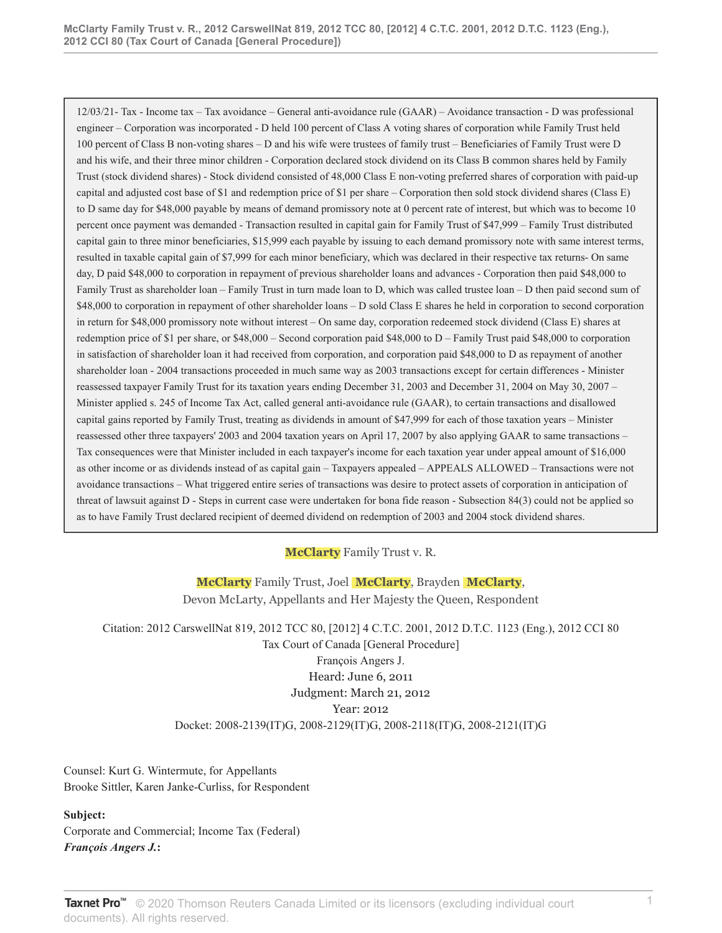$12/03/21$ - Tax - Income tax - Tax avoidance - General anti-avoidance rule (GAAR) - Avoidance transaction - D was professional engineer – Corporation was incorporated - D held 100 percent of Class A voting shares of corporation while Family Trust held 100 percent of Class B non-voting shares – D and his wife were trustees of family trust – Beneficiaries of Family Trust were D and his wife, and their three minor children - Corporation declared stock dividend on its Class B common shares held by Family Trust (stock dividend shares) - Stock dividend consisted of 48,000 Class E non-voting preferred shares of corporation with paid-up capital and adjusted cost base of \$1 and redemption price of \$1 per share – Corporation then sold stock dividend shares (Class E) to D same day for \$48,000 payable by means of demand promissory note at 0 percent rate of interest, but which was to become 10 percent once payment was demanded - Transaction resulted in capital gain for Family Trust of \$47,999 - Family Trust distributed capital gain to three minor beneficiaries, \$15,999 each payable by issuing to each demand promissory note with same interest terms, resulted in taxable capital gain of \$7,999 for each minor beneficiary, which was declared in their respective tax returns- On same day, D paid \$48,000 to corporation in repayment of previous shareholder loans and advances - Corporation then paid \$48,000 to Family Trust as shareholder loan - Family Trust in turn made loan to D, which was called trustee loan - D then paid second sum of \$48,000 to corporation in repayment of other shareholder loans – D sold Class E shares he held in corporation to second corporation in return for \$48,000 promissory note without interest - On same day, corporation redeemed stock dividend (Class E) shares at redemption price of \$1 per share, or \$48,000 – Second corporation paid \$48,000 to  $D$  – Family Trust paid \$48,000 to corporation in satisfaction of shareholder loan it had received from corporation, and corporation paid \$48,000 to D as repayment of another shareholder loan - 2004 transactions proceeded in much same way as 2003 transactions except for certain differences - Minister reassessed taxpayer Family Trust for its taxation years ending December 31, 2003 and December 31, 2004 on May 30, 2007 -Minister applied s. 245 of Income Tax Act, called general anti-avoidance rule (GAAR), to certain transactions and disallowed capital gains reported by Family Trust, treating as dividends in amount of \$47,999 for each of those taxation years – Minister reassessed other three taxpayers' 2003 and 2004 taxation years on April 17, 2007 by also applying GAAR to same transactions – Tax consequences were that Minister included in each taxpayer's income for each taxation year under appeal amount of \$16,000 as other income or as dividends instead of as capital gain – Taxpayers appealed – APPEALS ALLOWED – Transactions were not avoidance transactions - What triggered entire series of transactions was desire to protect assets of corporation in anticipation of threat of lawsuit against D - Steps in current case were undertaken for bona fide reason - Subsection 84(3) could not be applied so as to have Family Trust declared recipient of deemed dividend on redemption of 2003 and 2004 stock dividend shares.

**McClarty** Family Trust v. R.

**McClarty** Family Trust, Joel McClarty, Brayden McClarty, Devon McLarty, Appellants and Her Majesty the Queen, Respondent

Citation: 2012 CarswellNat 819, 2012 TCC 80, [2012] 4 C.T.C. 2001, 2012 D.T.C. 1123 (Eng.), 2012 CCI 80 Tax Court of Canada [General Procedure] François Angers J. Heard: June 6, 2011 Judgment: March 21, 2012 Year: 2012 Docket: 2008-2139(IT)G, 2008-2129(IT)G, 2008-2118(IT)G, 2008-2121(IT)G

Counsel: Kurt G. Wintermute, for Appellants Brooke Sittler, Karen Janke-Curliss, for Respondent

Subject: Corporate and Commercial: Income Tax (Federal) **François Angers J.:**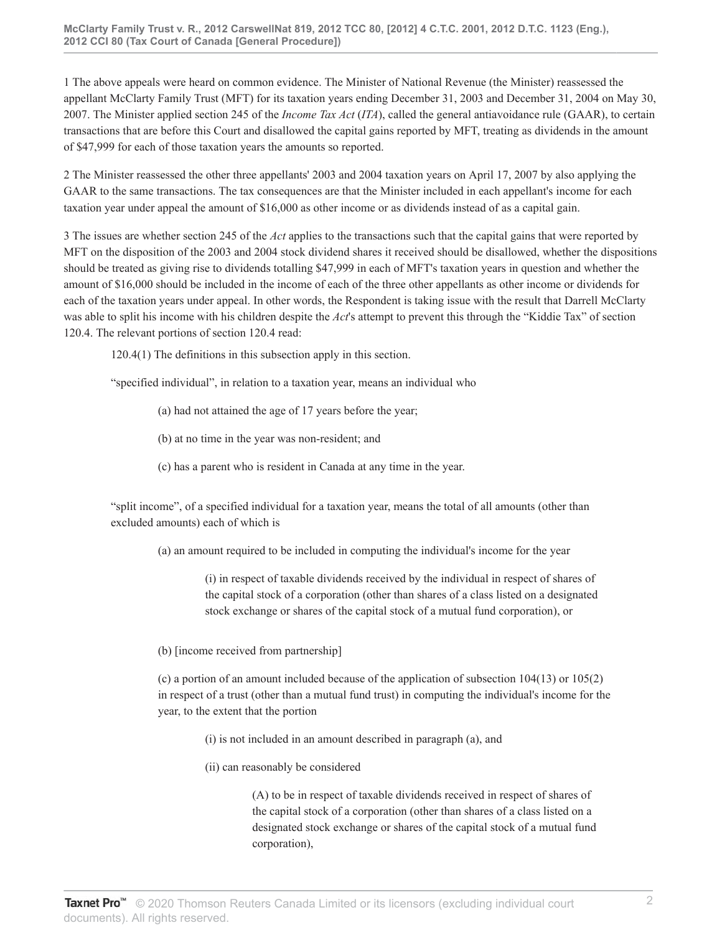1 The above appeals were heard on common evidence. The Minister of National Revenue (the Minister) reassessed the appellant McClarty Family Trust (MFT) for its taxation years ending December 31, 2003 and December 31, 2004 on May 30, 2007. The Minister applied section 245 of the *Income Tax Act* (*ITA*), called the general antiavoidance rule (GAAR), to certain transactions that are before this Court and disallowed the capital gains reported by MFT, treating as dividends in the amount of \$47,999 for each of those taxation years the amounts so reported.

2 The Minister reassessed the other three appellants' 2003 and 2004 taxation years on April 17, 2007 by also applying the GAAR to the same transactions. The tax consequences are that the Minister included in each appellant's income for each taxation year under appeal the amount of \$16,000 as other income or as dividends instead of as a capital gain.

3 The issues are whether section 245 of the Act applies to the transactions such that the capital gains that were reported by MFT on the disposition of the 2003 and 2004 stock dividend shares it received should be disallowed, whether the dispositions should be treated as giving rise to dividends totalling \$47,999 in each of MFT's taxation years in question and whether the amount of \$16,000 should be included in the income of each of the three other appellants as other income or dividends for each of the taxation years under appeal. In other words, the Respondent is taking issue with the result that Darrell McClarty was able to split his income with his children despite the Act's attempt to prevent this through the "Kiddie Tax" of section 120.4. The relevant portions of section 120.4 read:

 $120.4(1)$  The definitions in this subsection apply in this section.

"specified individual", in relation to a taxation year, means an individual who

- (a) had not attained the age of 17 years before the year;
- (b) at no time in the year was non-resident; and
- (c) has a parent who is resident in Canada at any time in the year.

"split income", of a specified individual for a taxation year, means the total of all amounts (other than excluded amounts) each of which is

(a) an amount required to be included in computing the individual's income for the year

(i) in respect of taxable dividends received by the individual in respect of shares of the capital stock of a corporation (other than shares of a class listed on a designated stock exchange or shares of the capital stock of a mutual fund corporation), or

## (b) [income received from partnership]

(c) a portion of an amount included because of the application of subsection  $104(13)$  or  $105(2)$ in respect of a trust (other than a mutual fund trust) in computing the individual's income for the year, to the extent that the portion

(i) is not included in an amount described in paragraph (a), and

(ii) can reasonably be considered

(A) to be in respect of taxable dividends received in respect of shares of the capital stock of a corporation (other than shares of a class listed on a designated stock exchange or shares of the capital stock of a mutual fund corporation).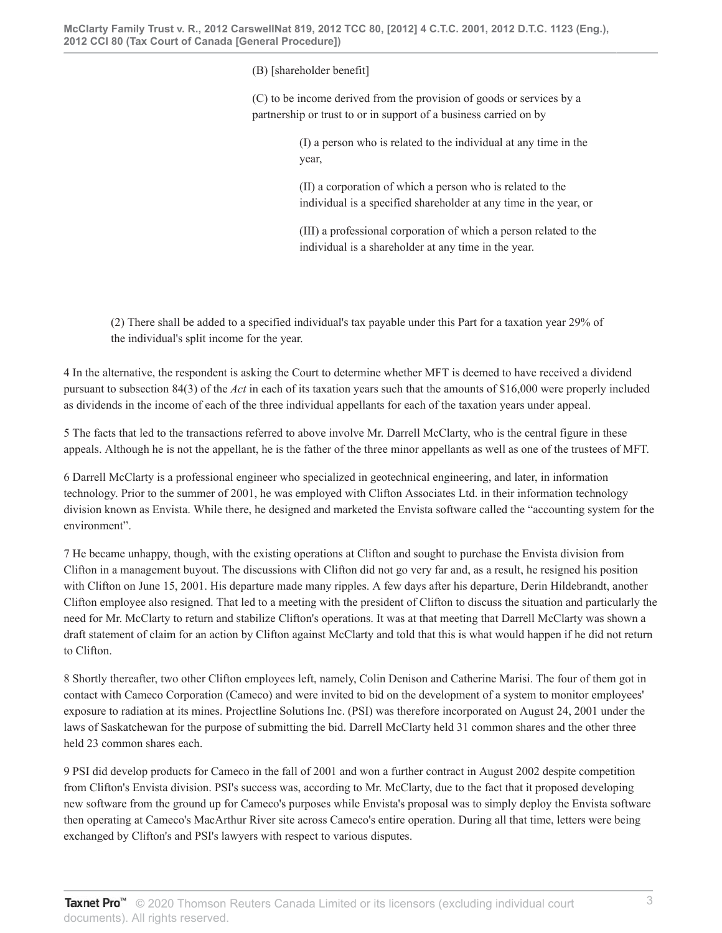(B) [shareholder benefit]

(C) to be income derived from the provision of goods or services by a partnership or trust to or in support of a business carried on by

> (I) a person who is related to the individual at any time in the vear,

(II) a corporation of which a person who is related to the individual is a specified shareholder at any time in the year, or

(III) a professional corporation of which a person related to the individual is a shareholder at any time in the year.

(2) There shall be added to a specified individual's tax payable under this Part for a taxation year 29% of the individual's split income for the year.

4 In the alternative, the respondent is asking the Court to determine whether MFT is deemed to have received a dividend pursuant to subsection  $84(3)$  of the Act in each of its taxation years such that the amounts of \$16,000 were properly included as dividends in the income of each of the three individual appellants for each of the taxation years under appeal.

5 The facts that led to the transactions referred to above involve Mr. Darrell McClarty, who is the central figure in these appeals. Although he is not the appellant, he is the father of the three minor appellants as well as one of the trustees of MFT.

6 Darrell McClarty is a professional engineer who specialized in geotechnical engineering, and later, in information technology. Prior to the summer of 2001, he was employed with Clifton Associates Ltd. in their information technology division known as Envista. While there, he designed and marketed the Envista software called the "accounting system for the environment".

7 He became unhappy, though, with the existing operations at Clifton and sought to purchase the Envista division from Clifton in a management buyout. The discussions with Clifton did not go very far and, as a result, he resigned his position with Clifton on June 15, 2001. His departure made many ripples. A few days after his departure, Derin Hildebrandt, another Clifton employee also resigned. That led to a meeting with the president of Clifton to discuss the situation and particularly the need for Mr. McClarty to return and stabilize Clifton's operations. It was at that meeting that Darrell McClarty was shown a draft statement of claim for an action by Clifton against McClarty and told that this is what would happen if he did not return to Clifton

8 Shortly thereafter, two other Clifton employees left, namely, Colin Denison and Catherine Marisi. The four of them got in contact with Cameco Corporation (Cameco) and were invited to bid on the development of a system to monitor employees' exposure to radiation at its mines. Projectline Solutions Inc. (PSI) was therefore incorporated on August 24, 2001 under the laws of Saskatchewan for the purpose of submitting the bid. Darrell McClarty held 31 common shares and the other three held 23 common shares each.

9 PSI did develop products for Cameco in the fall of 2001 and won a further contract in August 2002 despite competition from Clifton's Envista division. PSI's success was, according to Mr. McClarty, due to the fact that it proposed developing new software from the ground up for Cameco's purposes while Envista's proposal was to simply deploy the Envista software then operating at Cameco's MacArthur River site across Cameco's entire operation. During all that time, letters were being exchanged by Clifton's and PSI's lawyers with respect to various disputes.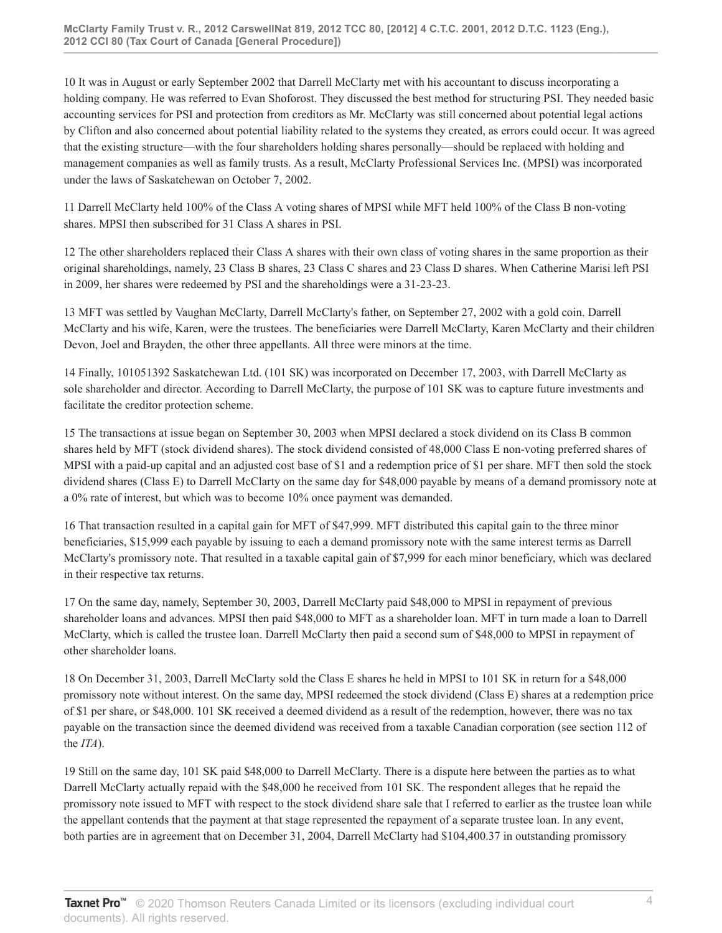10 It was in August or early September 2002 that Darrell McClarty met with his accountant to discuss incorporating a holding company. He was referred to Evan Shoforost. They discussed the best method for structuring PSI. They needed basic accounting services for PSI and protection from creditors as Mr. McClarty was still concerned about potential legal actions by Clifton and also concerned about potential liability related to the systems they created, as errors could occur. It was agreed that the existing structure—with the four shareholders holding shares personally—should be replaced with holding and management companies as well as family trusts. As a result, McClarty Professional Services Inc. (MPSI) was incorporated under the laws of Saskatchewan on October 7, 2002.

11 Darrell McClarty held 100% of the Class A voting shares of MPSI while MFT held 100% of the Class B non-voting shares. MPSI then subscribed for 31 Class A shares in PSI.

12 The other shareholders replaced their Class A shares with their own class of voting shares in the same proportion as their original shareholdings, namely, 23 Class B shares, 23 Class C shares and 23 Class D shares. When Catherine Marisi left PSI in 2009, her shares were redeemed by PSI and the shareholdings were a 31-23-23.

13 MFT was settled by Vaughan McClarty, Darrell McClarty's father, on September 27, 2002 with a gold coin. Darrell McClarty and his wife, Karen, were the trustees. The beneficiaries were Darrell McClarty, Karen McClarty and their children Devon, Joel and Brayden, the other three appellants. All three were minors at the time.

14 Finally, 101051392 Saskatchewan Ltd. (101 SK) was incorporated on December 17, 2003, with Darrell McClarty as sole shareholder and director. According to Darrell McClarty, the purpose of 101 SK was to capture future investments and facilitate the creditor protection scheme.

15 The transactions at issue began on September 30, 2003 when MPSI declared a stock dividend on its Class B common shares held by MFT (stock dividend shares). The stock dividend consisted of 48,000 Class E non-voting preferred shares of MPSI with a paid-up capital and an adjusted cost base of \$1 and a redemption price of \$1 per share. MFT then sold the stock dividend shares (Class E) to Darrell McClarty on the same day for \$48,000 payable by means of a demand promissory note at a 0% rate of interest, but which was to become 10% once payment was demanded.

16 That transaction resulted in a capital gain for MFT of \$47,999. MFT distributed this capital gain to the three minor beneficiaries, \$15,999 each payable by issuing to each a demand promissory note with the same interest terms as Darrell McClarty's promissory note. That resulted in a taxable capital gain of \$7,999 for each minor beneficiary, which was declared in their respective tax returns.

17 On the same day, namely, September 30, 2003, Darrell McClarty paid \$48,000 to MPSI in repayment of previous shareholder loans and advances. MPSI then paid \$48,000 to MFT as a shareholder loan. MFT in turn made a loan to Darrell McClarty, which is called the trustee loan. Darrell McClarty then paid a second sum of \$48,000 to MPSI in repayment of other shareholder loans

18 On December 31, 2003, Darrell McClarty sold the Class E shares he held in MPSI to 101 SK in return for a \$48,000 promissory note without interest. On the same day, MPSI redeemed the stock dividend (Class E) shares at a redemption price of \$1 per share, or \$48,000. 101 SK received a deemed dividend as a result of the redemption, however, there was no tax payable on the transaction since the deemed dividend was received from a taxable Canadian corporation (see section 112 of the *ITA*).

19 Still on the same day, 101 SK paid \$48,000 to Darrell McClarty. There is a dispute here between the parties as to what Darrell McClarty actually repaid with the \$48,000 he received from 101 SK. The respondent alleges that he repaid the promissory note issued to MFT with respect to the stock dividend share sale that I referred to earlier as the trustee loan while the appellant contends that the payment at that stage represented the repayment of a separate trustee loan. In any event, both parties are in agreement that on December 31, 2004, Darrell McClarty had \$104,400.37 in outstanding promissory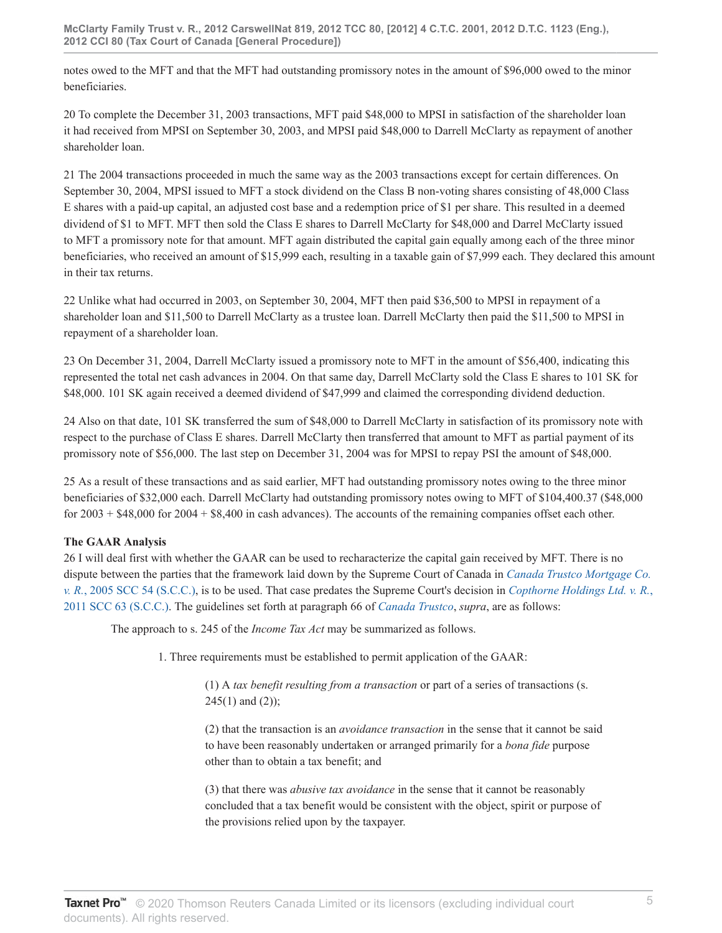notes owed to the MFT and that the MFT had outstanding promissory notes in the amount of \$96,000 owed to the minor beneficiaries.

20 To complete the December 31, 2003 transactions, MFT paid \$48,000 to MPSI in satisfaction of the shareholder loan it had received from MPSI on September 30, 2003, and MPSI paid \$48,000 to Darrell McClarty as repayment of another shareholder loan

21 The 2004 transactions proceeded in much the same way as the 2003 transactions except for certain differences. On September 30, 2004, MPSI issued to MFT a stock dividend on the Class B non-voting shares consisting of 48,000 Class E shares with a paid-up capital, an adjusted cost base and a redemption price of \$1 per share. This resulted in a deemed dividend of \$1 to MFT. MFT then sold the Class E shares to Darrell McClarty for \$48,000 and Darrel McClarty issued to MFT a promissory note for that amount. MFT again distributed the capital gain equally among each of the three minor beneficiaries, who received an amount of \$15,999 each, resulting in a taxable gain of \$7,999 each. They declared this amount in their tax returns.

22 Unlike what had occurred in 2003, on September 30, 2004, MFT then paid \$36,500 to MPSI in repayment of a shareholder loan and \$11,500 to Darrell McClarty as a trustee loan. Darrell McClarty then paid the \$11,500 to MPSI in repayment of a shareholder loan.

23 On December 31, 2004, Darrell McClarty issued a promissory note to MFT in the amount of \$56,400, indicating this represented the total net cash advances in 2004. On that same day, Darrell McClarty sold the Class E shares to 101 SK for \$48,000. 101 SK again received a deemed dividend of \$47,999 and claimed the corresponding dividend deduction.

24 Also on that date, 101 SK transferred the sum of \$48,000 to Darrell McClarty in satisfaction of its promissory note with respect to the purchase of Class E shares. Darrell McClarty then transferred that amount to MFT as partial payment of its promissory note of \$56,000. The last step on December 31, 2004 was for MPSI to repay PSI the amount of \$48,000.

25 As a result of these transactions and as said earlier, MFT had outstanding promissory notes owing to the three minor beneficiaries of \$32,000 each. Darrell McClarty had outstanding promissory notes owing to MFT of \$104,400.37 (\$48,000) for  $2003 + $48,000$  for  $2004 + $8,400$  in cash advances). The accounts of the remaining companies offset each other.

# **The GAAR Analysis**

26 I will deal first with whether the GAAR can be used to recharacterize the capital gain received by MFT. There is no dispute between the parties that the framework laid down by the Supreme Court of Canada in *Canada Trustco Mortgage Co.* v. R., 2005 SCC 54 (S.C.C.), is to be used. That case predates the Supreme Court's decision in Copthorne Holdings Ltd. v. R., 2011 SCC 63 (S.C.C.). The guidelines set forth at paragraph 66 of *Canada Trustco*, *supra*, are as follows:

The approach to s. 245 of the *Income Tax Act* may be summarized as follows.

1. Three requirements must be established to permit application of the GAAR:

 $(1)$  A tax benefit resulting from a transaction or part of a series of transactions (s.  $245(1)$  and  $(2)$ ;

(2) that the transaction is an *avoidance transaction* in the sense that it cannot be said to have been reasonably undertaken or arranged primarily for a *bona fide* purpose other than to obtain a tax benefit; and

(3) that there was *abusive tax avoidance* in the sense that it cannot be reasonably concluded that a tax benefit would be consistent with the object, spirit or purpose of the provisions relied upon by the taxpayer.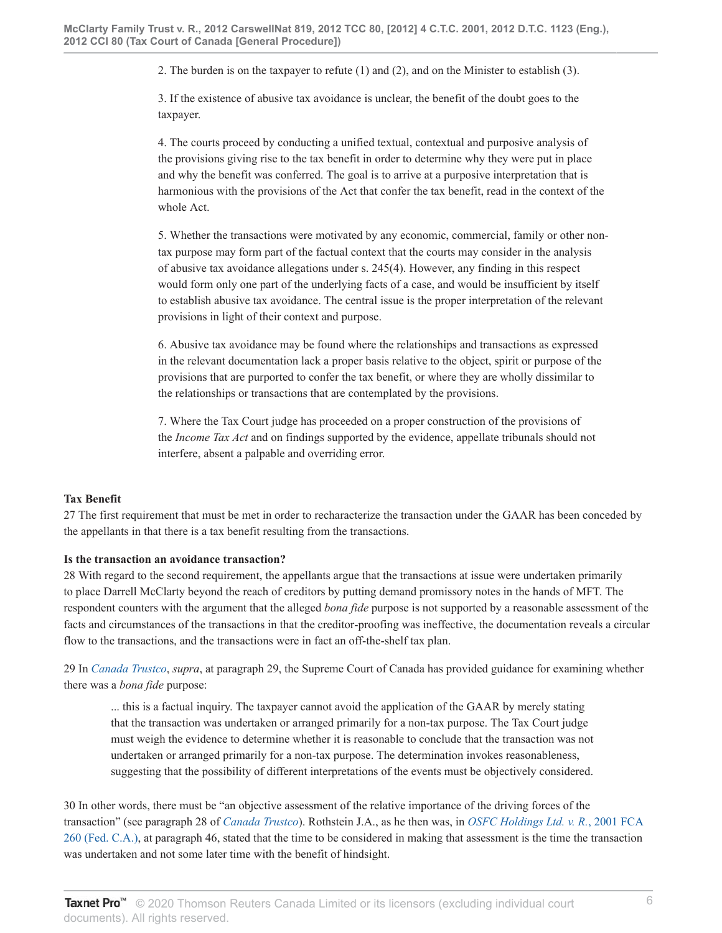2. The burden is on the taxpayer to refute  $(1)$  and  $(2)$ , and on the Minister to establish  $(3)$ .

3. If the existence of abusive tax avoidance is unclear, the benefit of the doubt goes to the taxpayer.

4. The courts proceed by conducting a unified textual, contextual and purposive analysis of the provisions giving rise to the tax benefit in order to determine why they were put in place and why the benefit was conferred. The goal is to arrive at a purposive interpretation that is harmonious with the provisions of the Act that confer the tax benefit, read in the context of the whole Act.

5. Whether the transactions were motivated by any economic, commercial, family or other nontax purpose may form part of the factual context that the courts may consider in the analysis of abusive tax avoidance allegations under s. 245(4). However, any finding in this respect would form only one part of the underlying facts of a case, and would be insufficient by itself to establish abusive tax avoidance. The central issue is the proper interpretation of the relevant provisions in light of their context and purpose.

6. Abusive tax avoidance may be found where the relationships and transactions as expressed in the relevant documentation lack a proper basis relative to the object, spirit or purpose of the provisions that are purported to confer the tax benefit, or where they are wholly dissimilar to the relationships or transactions that are contemplated by the provisions.

7. Where the Tax Court judge has proceeded on a proper construction of the provisions of the *Income Tax Act* and on findings supported by the evidence, appellate tribunals should not interfere, absent a palpable and overriding error.

# **Tax Benefit**

27 The first requirement that must be met in order to recharacterize the transaction under the GAAR has been conceded by the appellants in that there is a tax benefit resulting from the transactions.

## Is the transaction an avoidance transaction?

28 With regard to the second requirement, the appellants argue that the transactions at issue were undertaken primarily to place Darrell McClarty beyond the reach of creditors by putting demand promissory notes in the hands of MFT. The respondent counters with the argument that the alleged *bona fide* purpose is not supported by a reasonable assessment of the facts and circumstances of the transactions in that the creditor-proofing was ineffective, the documentation reveals a circular flow to the transactions, and the transactions were in fact an off-the-shelf tax plan.

29 In Canada Trustco, supra, at paragraph 29, the Supreme Court of Canada has provided guidance for examining whether there was a *bona fide* purpose:

... this is a factual inquiry. The taxpayer cannot avoid the application of the GAAR by merely stating that the transaction was undertaken or arranged primarily for a non-tax purpose. The Tax Court judge must weigh the evidence to determine whether it is reasonable to conclude that the transaction was not undertaken or arranged primarily for a non-tax purpose. The determination invokes reasonableness, suggesting that the possibility of different interpretations of the events must be objectively considered.

30 In other words, there must be "an objective assessment of the relative importance of the driving forces of the transaction" (see paragraph 28 of Canada Trustco). Rothstein J.A., as he then was, in OSFC Holdings Ltd. v. R., 2001 FCA 260 (Fed. C.A.), at paragraph 46, stated that the time to be considered in making that assessment is the time the transaction was undertaken and not some later time with the benefit of hindsight.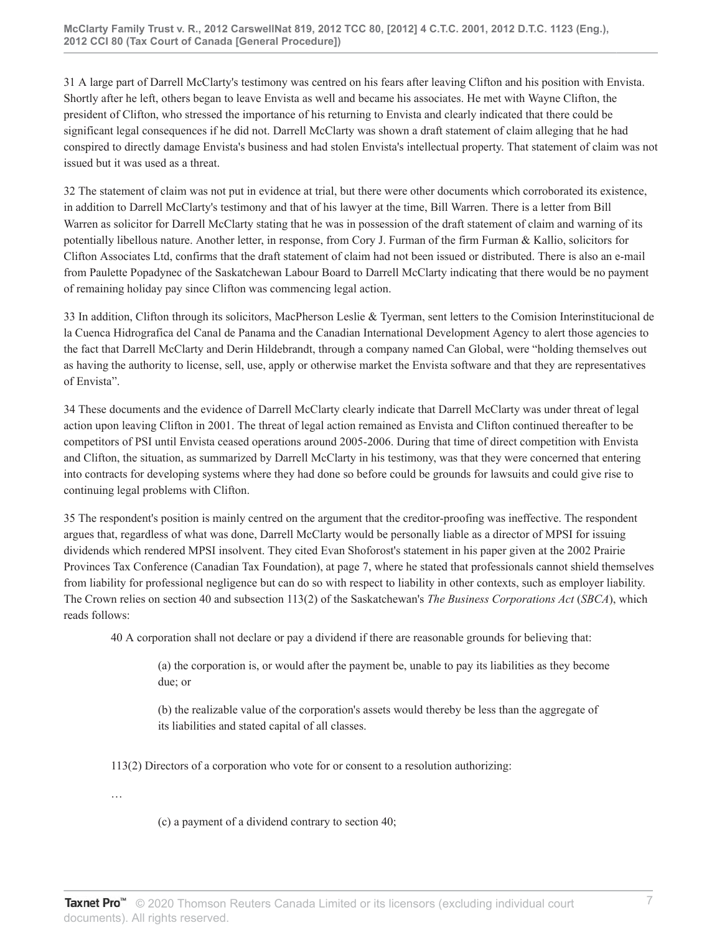31 A large part of Darrell McClarty's testimony was centred on his fears after leaving Clifton and his position with Envista. Shortly after he left, others began to leave Envista as well and became his associates. He met with Wayne Clifton, the president of Clifton, who stressed the importance of his returning to Envista and clearly indicated that there could be significant legal consequences if he did not. Darrell McClarty was shown a draft statement of claim alleging that he had conspired to directly damage Envista's business and had stolen Envista's intellectual property. That statement of claim was not issued but it was used as a threat.

32 The statement of claim was not put in evidence at trial, but there were other documents which corroborated its existence, in addition to Darrell McClarty's testimony and that of his lawyer at the time, Bill Warren. There is a letter from Bill Warren as solicitor for Darrell McClarty stating that he was in possession of the draft statement of claim and warning of its potentially libellous nature. Another letter, in response, from Cory J. Furman of the firm Furman & Kallio, solicitors for Clifton Associates Ltd, confirms that the draft statement of claim had not been issued or distributed. There is also an e-mail from Paulette Popadynec of the Saskatchewan Labour Board to Darrell McClarty indicating that there would be no payment of remaining holiday pay since Clifton was commencing legal action.

33 In addition, Clifton through its solicitors, MacPherson Leslie & Tyerman, sent letters to the Comision Interinstitucional de la Cuenca Hidrografica del Canal de Panama and the Canadian International Development Agency to alert those agencies to the fact that Darrell McClarty and Derin Hildebrandt, through a company named Can Global, were "holding themselves out as having the authority to license, sell, use, apply or otherwise market the Envista software and that they are representatives of Envista".

34 These documents and the evidence of Darrell McClarty clearly indicate that Darrell McClarty was under threat of legal action upon leaving Clifton in 2001. The threat of legal action remained as Envista and Clifton continued thereafter to be competitors of PSI until Envista ceased operations around 2005-2006. During that time of direct competition with Envista and Clifton, the situation, as summarized by Darrell McClarty in his testimony, was that they were concerned that entering into contracts for developing systems where they had done so before could be grounds for lawsuits and could give rise to continuing legal problems with Clifton.

35 The respondent's position is mainly centred on the argument that the creditor-proofing was ineffective. The respondent argues that, regardless of what was done. Darrell McClarty would be personally liable as a director of MPSI for issuing dividends which rendered MPSI insolvent. They cited Evan Shoforost's statement in his paper given at the 2002 Prairie Provinces Tax Conference (Canadian Tax Foundation), at page 7, where he stated that professionals cannot shield themselves from liability for professional negligence but can do so with respect to liability in other contexts, such as employer liability. The Crown relies on section 40 and subsection 113(2) of the Saskatchewan's The Business Corporations Act (SBCA), which reads follows:

40 A corporation shall not declare or pay a dividend if there are reasonable grounds for believing that:

(a) the corporation is, or would after the payment be, unable to pay its liabilities as they become due; or

(b) the realizable value of the corporation's assets would thereby be less than the aggregate of its liabilities and stated capital of all classes.

113(2) Directors of a corporation who vote for or consent to a resolution authorizing:

(c) a payment of a dividend contrary to section 40;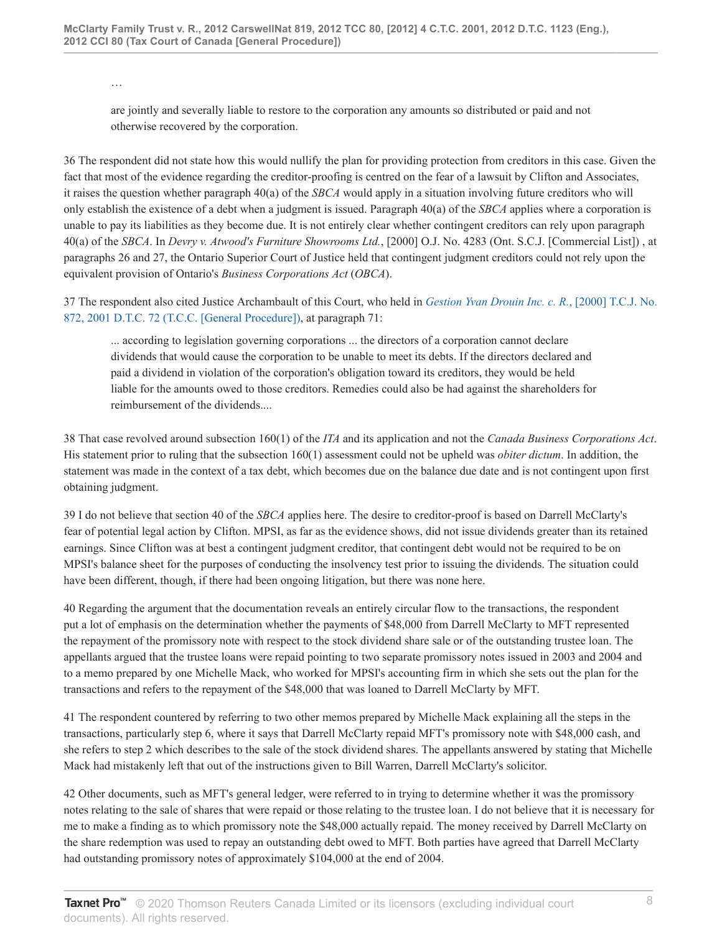$\cdots$ 

are jointly and severally liable to restore to the corporation any amounts so distributed or paid and not otherwise recovered by the corporation.

36 The respondent did not state how this would nullify the plan for providing protection from creditors in this case. Given the fact that most of the evidence regarding the creditor-proofing is centred on the fear of a lawsuit by Clifton and Associates. it raises the question whether paragraph  $40(a)$  of the *SBCA* would apply in a situation involving future creditors who will only establish the existence of a debt when a judgment is issued. Paragraph  $40(a)$  of the *SBCA* applies where a corporation is unable to pay its liabilities as they become due. It is not entirely clear whether contingent creditors can rely upon paragraph 40(a) of the SBCA. In Devry v. Atwood's Furniture Showrooms Ltd., [2000] O.J. No. 4283 (Ont. S.C.J. [Commercial List]), at paragraphs 26 and 27, the Ontario Superior Court of Justice held that contingent judgment creditors could not rely upon the equivalent provision of Ontario's Business Corporations Act (OBCA).

37 The respondent also cited Justice Archambault of this Court, who held in *Gestion Yvan Drouin Inc. c. R.*, [2000] T.C.J. No. 872, 2001 D.T.C. 72 (T.C.C. [General Procedure]), at paragraph 71:

... according to legislation governing corporations ... the directors of a corporation cannot declare dividends that would cause the corporation to be unable to meet its debts. If the directors declared and paid a dividend in violation of the corporation's obligation toward its creditors, they would be held liable for the amounts owed to those creditors. Remedies could also be had against the shareholders for reimbursement of the dividends....

38 That case revolved around subsection 160(1) of the *ITA* and its application and not the *Canada Business Corporations Act*. His statement prior to ruling that the subsection  $160(1)$  assessment could not be upheld was *obiter dictum*. In addition, the statement was made in the context of a tax debt, which becomes due on the balance due date and is not contingent upon first obtaining judgment.

39 I do not believe that section 40 of the *SBCA* applies here. The desire to creditor-proof is based on Darrell McClarty's fear of potential legal action by Clifton. MPSI, as far as the evidence shows, did not issue dividends greater than its retained earnings. Since Clifton was at best a contingent judgment creditor, that contingent debt would not be required to be on MPSI's balance sheet for the purposes of conducting the insolvency test prior to issuing the dividends. The situation could have been different, though, if there had been ongoing litigation, but there was none here.

40 Regarding the argument that the documentation reveals an entirely circular flow to the transactions, the respondent put a lot of emphasis on the determination whether the payments of \$48,000 from Darrell McClarty to MFT represented the repayment of the promissory note with respect to the stock dividend share sale or of the outstanding trustee loan. The appellants argued that the trustee loans were repaid pointing to two separate promissory notes issued in 2003 and 2004 and to a memo prepared by one Michelle Mack, who worked for MPSI's accounting firm in which she sets out the plan for the transactions and refers to the repayment of the \$48,000 that was loaned to Darrell McClarty by MFT.

41 The respondent countered by referring to two other memos prepared by Michelle Mack explaining all the steps in the transactions, particularly step 6, where it says that Darrell McClarty repaid MFT's promissory note with \$48,000 cash, and she refers to step 2 which describes to the sale of the stock dividend shares. The appellants answered by stating that Michelle Mack had mistakenly left that out of the instructions given to Bill Warren, Darrell McClarty's solicitor.

42 Other documents, such as MFT's general ledger, were referred to in trying to determine whether it was the promissory notes relating to the sale of shares that were repaid or those relating to the trustee loan. I do not believe that it is necessary for me to make a finding as to which promissory note the \$48,000 actually repaid. The money received by Darrell McClarty on the share redemption was used to repay an outstanding debt owed to MFT. Both parties have agreed that Darrell McClarty had outstanding promissory notes of approximately \$104,000 at the end of 2004.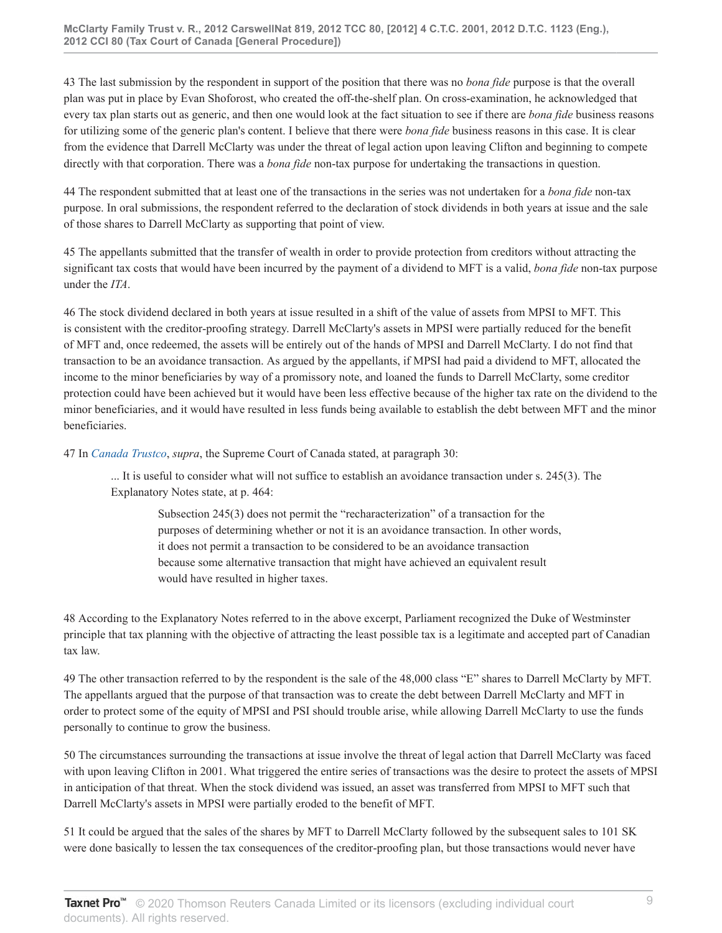43 The last submission by the respondent in support of the position that there was no *bona fide* purpose is that the overall plan was put in place by Evan Shoforost, who created the off-the-shelf plan. On cross-examination, he acknowledged that every tax plan starts out as generic, and then one would look at the fact situation to see if there are *bona fide* business reasons for utilizing some of the generic plan's content. I believe that there were *bona fide* business reasons in this case. It is clear from the evidence that Darrell McClarty was under the threat of legal action upon leaving Clifton and beginning to compete directly with that corporation. There was a *bona fide* non-tax purpose for undertaking the transactions in question.

44 The respondent submitted that at least one of the transactions in the series was not undertaken for a *bona fide* non-tax purpose. In oral submissions, the respondent referred to the declaration of stock dividends in both years at issue and the sale of those shares to Darrell McClarty as supporting that point of view.

45 The appellants submitted that the transfer of wealth in order to provide protection from creditors without attracting the significant tax costs that would have been incurred by the payment of a dividend to MFT is a valid, *bona fide* non-tax purpose under the *ITA*.

46 The stock dividend declared in both years at issue resulted in a shift of the value of assets from MPSI to MFT. This is consistent with the creditor-proofing strategy. Darrell McClarty's assets in MPSI were partially reduced for the benefit of MFT and, once redeemed, the assets will be entirely out of the hands of MPSI and Darrell McClarty. I do not find that transaction to be an avoidance transaction. As argued by the appellants, if MPSI had paid a dividend to MFT, allocated the income to the minor beneficiaries by way of a promissory note, and loaned the funds to Darrell McClarty, some creditor protection could have been achieved but it would have been less effective because of the higher tax rate on the dividend to the minor beneficiaries, and it would have resulted in less funds being available to establish the debt between MFT and the minor beneficiaries.

47 In Canada Trustco, supra, the Supreme Court of Canada stated, at paragraph 30:

... It is useful to consider what will not suffice to establish an avoidance transaction under s. 245(3). The Explanatory Notes state, at p. 464:

Subsection  $245(3)$  does not permit the "recharacterization" of a transaction for the purposes of determining whether or not it is an avoidance transaction. In other words, it does not permit a transaction to be considered to be an avoidance transaction because some alternative transaction that might have achieved an equivalent result would have resulted in higher taxes.

48 According to the Explanatory Notes referred to in the above excerpt, Parliament recognized the Duke of Westminster principle that tax planning with the objective of attracting the least possible tax is a legitimate and accepted part of Canadian tax law.

49 The other transaction referred to by the respondent is the sale of the 48,000 class "E" shares to Darrell McClarty by MFT. The appellants argued that the purpose of that transaction was to create the debt between Darrell McClarty and MFT in order to protect some of the equity of MPSI and PSI should trouble arise, while allowing Darrell McClarty to use the funds personally to continue to grow the business.

50 The circumstances surrounding the transactions at issue involve the threat of legal action that Darrell McClarty was faced with upon leaving Clifton in 2001. What triggered the entire series of transactions was the desire to protect the assets of MPSI in anticipation of that threat. When the stock dividend was issued, an asset was transferred from MPSI to MFT such that Darrell McClarty's assets in MPSI were partially eroded to the benefit of MFT.

51 It could be argued that the sales of the shares by MFT to Darrell McClarty followed by the subsequent sales to 101 SK were done basically to lessen the tax consequences of the creditor-proofing plan, but those transactions would never have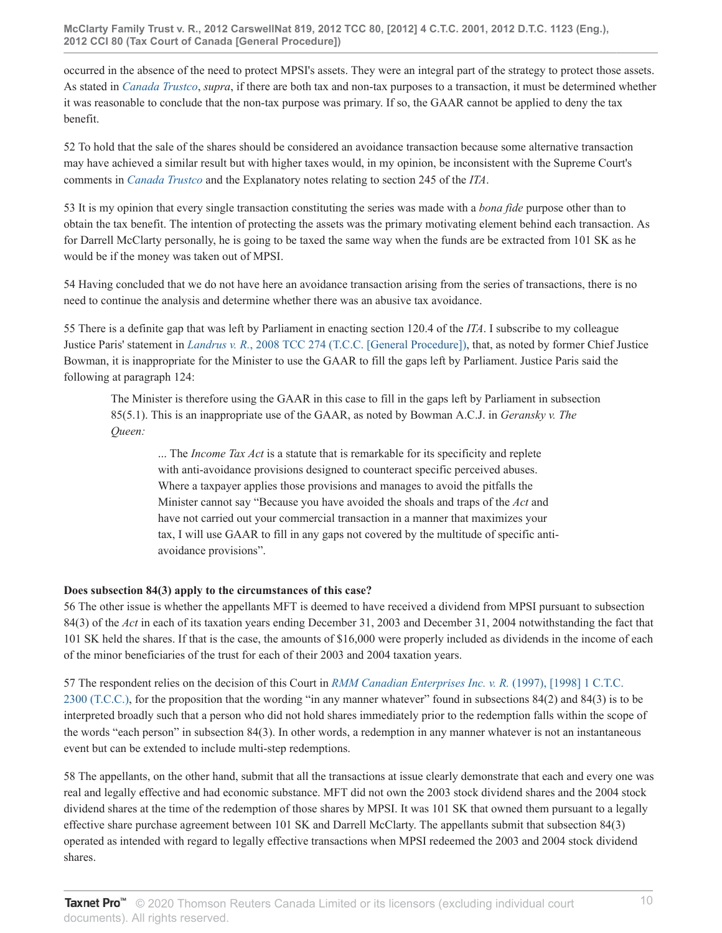occurred in the absence of the need to protect MPSI's assets. They were an integral part of the strategy to protect those assets. As stated in *Canada Trustco*, *supra*, if there are both tax and non-tax purposes to a transaction, it must be determined whether it was reasonable to conclude that the non-tax purpose was primary. If so, the GAAR cannot be applied to deny the tax benefit.

52 To hold that the sale of the shares should be considered an avoidance transaction because some alternative transaction may have achieved a similar result but with higher taxes would, in my opinion, be inconsistent with the Supreme Court's comments in *Canada Trustco* and the Explanatory notes relating to section 245 of the *ITA*.

53 It is my opinion that every single transaction constituting the series was made with a *bona fide* purpose other than to obtain the tax benefit. The intention of protecting the assets was the primary motivating element behind each transaction. As for Darrell McClarty personally, he is going to be taxed the same way when the funds are be extracted from 101 SK as he would be if the money was taken out of MPSI.

54 Having concluded that we do not have here an avoidance transaction arising from the series of transactions, there is no need to continue the analysis and determine whether there was an abusive tax avoidance.

55 There is a definite gap that was left by Parliament in enacting section 120.4 of the *ITA*. I subscribe to my colleague Justice Paris' statement in *Landrus v. R.*, 2008 TCC 274 (T.C.C. [General Procedure]), that, as noted by former Chief Justice Bowman, it is inappropriate for the Minister to use the GAAR to fill the gaps left by Parliament. Justice Paris said the following at paragraph 124:

The Minister is therefore using the GAAR in this case to fill in the gaps left by Parliament in subsection 85(5.1). This is an inappropriate use of the GAAR, as noted by Bowman A.C.J. in Geransky v. The Oueen:

... The *Income Tax Act* is a statute that is remarkable for its specificity and replete with anti-avoidance provisions designed to counteract specific perceived abuses. Where a taxpayer applies those provisions and manages to avoid the pitfalls the Minister cannot say "Because you have avoided the shoals and traps of the Act and have not carried out your commercial transaction in a manner that maximizes your tax, I will use GAAR to fill in any gaps not covered by the multitude of specific antiavoidance provisions".

# Does subsection 84(3) apply to the circumstances of this case?

56 The other issue is whether the appellants MFT is deemed to have received a dividend from MPSI pursuant to subsection 84(3) of the Act in each of its taxation years ending December 31, 2003 and December 31, 2004 notwithstanding the fact that 101 SK held the shares. If that is the case, the amounts of \$16,000 were properly included as dividends in the income of each of the minor beneficiaries of the trust for each of their 2003 and 2004 taxation years.

57 The respondent relies on the decision of this Court in RMM Canadian Enterprises Inc. v. R. (1997), [1998] 1 C.T.C. 2300 (T.C.C.), for the proposition that the wording "in any manner whatever" found in subsections 84(2) and 84(3) is to be interpreted broadly such that a person who did not hold shares immediately prior to the redemption falls within the scope of the words "each person" in subsection 84(3). In other words, a redemption in any manner whatever is not an instantaneous event but can be extended to include multi-step redemptions.

58 The appellants, on the other hand, submit that all the transactions at issue clearly demonstrate that each and every one was real and legally effective and had economic substance. MFT did not own the 2003 stock dividend shares and the 2004 stock dividend shares at the time of the redemption of those shares by MPSI. It was 101 SK that owned them pursuant to a legally effective share purchase agreement between 101 SK and Darrell McClarty. The appellants submit that subsection 84(3) operated as intended with regard to legally effective transactions when MPSI redeemed the 2003 and 2004 stock dividend shares.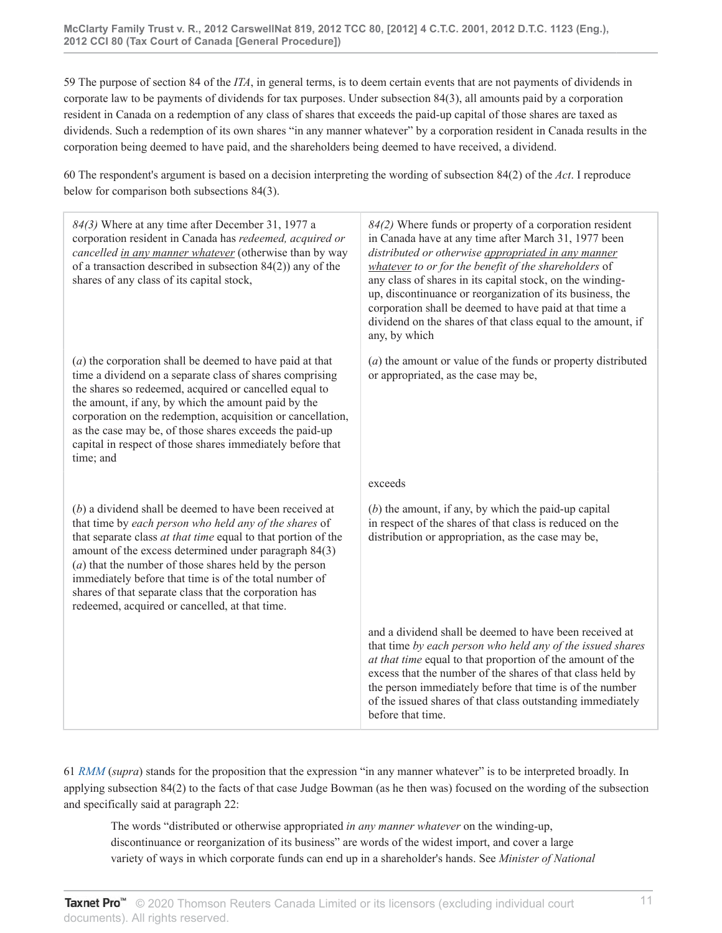59 The purpose of section 84 of the *ITA*, in general terms, is to deem certain events that are not payments of dividends in corporate law to be payments of dividends for tax purposes. Under subsection 84(3), all amounts paid by a corporation resident in Canada on a redemption of any class of shares that exceeds the paid-up capital of those shares are taxed as dividends. Such a redemption of its own shares "in any manner whatever" by a corporation resident in Canada results in the corporation being deemed to have paid, and the shareholders being deemed to have received, a dividend.

60 The respondent's argument is based on a decision interpreting the wording of subsection  $84(2)$  of the Act. I reproduce below for comparison both subsections 84(3).

| 84(3) Where at any time after December 31, 1977 a<br>corporation resident in Canada has redeemed, acquired or<br>cancelled in any manner whatever (otherwise than by way<br>of a transaction described in subsection $84(2)$ ) any of the<br>shares of any class of its capital stock,                                                                                                                                                                                               | $84(2)$ Where funds or property of a corporation resident<br>in Canada have at any time after March 31, 1977 been<br>distributed or otherwise appropriated in any manner<br>whatever to or for the benefit of the shareholders of<br>any class of shares in its capital stock, on the winding-<br>up, discontinuance or reorganization of its business, the<br>corporation shall be deemed to have paid at that time a<br>dividend on the shares of that class equal to the amount, if<br>any, by which |
|--------------------------------------------------------------------------------------------------------------------------------------------------------------------------------------------------------------------------------------------------------------------------------------------------------------------------------------------------------------------------------------------------------------------------------------------------------------------------------------|---------------------------------------------------------------------------------------------------------------------------------------------------------------------------------------------------------------------------------------------------------------------------------------------------------------------------------------------------------------------------------------------------------------------------------------------------------------------------------------------------------|
| (a) the corporation shall be deemed to have paid at that<br>time a dividend on a separate class of shares comprising<br>the shares so redeemed, acquired or cancelled equal to<br>the amount, if any, by which the amount paid by the<br>corporation on the redemption, acquisition or cancellation,<br>as the case may be, of those shares exceeds the paid-up<br>capital in respect of those shares immediately before that<br>time; and                                           | $(a)$ the amount or value of the funds or property distributed<br>or appropriated, as the case may be,                                                                                                                                                                                                                                                                                                                                                                                                  |
|                                                                                                                                                                                                                                                                                                                                                                                                                                                                                      | exceeds                                                                                                                                                                                                                                                                                                                                                                                                                                                                                                 |
| (b) a dividend shall be deemed to have been received at<br>that time by each person who held any of the shares of<br>that separate class <i>at that time</i> equal to that portion of the<br>amount of the excess determined under paragraph 84(3)<br>$(a)$ that the number of those shares held by the person<br>immediately before that time is of the total number of<br>shares of that separate class that the corporation has<br>redeemed, acquired or cancelled, at that time. | $(b)$ the amount, if any, by which the paid-up capital<br>in respect of the shares of that class is reduced on the<br>distribution or appropriation, as the case may be,                                                                                                                                                                                                                                                                                                                                |
|                                                                                                                                                                                                                                                                                                                                                                                                                                                                                      | and a dividend shall be deemed to have been received at<br>that time by each person who held any of the issued shares<br><i>at that time</i> equal to that proportion of the amount of the<br>excess that the number of the shares of that class held by<br>the person immediately before that time is of the number<br>of the issued shares of that class outstanding immediately<br>before that time.                                                                                                 |

61 RMM (supra) stands for the proposition that the expression "in any manner whatever" is to be interpreted broadly. In applying subsection 84(2) to the facts of that case Judge Bowman (as he then was) focused on the wording of the subsection and specifically said at paragraph 22:

The words "distributed or otherwise appropriated *in any manner whatever* on the winding-up, discontinuance or reorganization of its business" are words of the widest import, and cover a large variety of ways in which corporate funds can end up in a shareholder's hands. See Minister of National